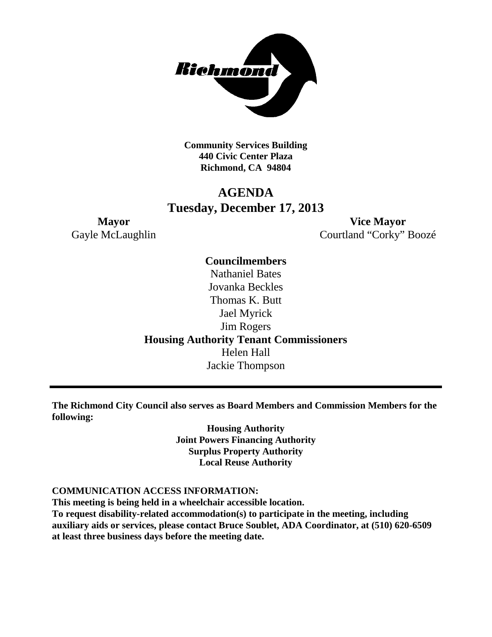

**Community Services Building 440 Civic Center Plaza Richmond, CA 94804**

### **AGENDA Tuesday, December 17, 2013**

**Mayor Vice Mayor** Gayle McLaughlin Courtland "Corky" Boozé

> **Councilmembers** Nathaniel Bates Jovanka Beckles Thomas K. Butt Jael Myrick Jim Rogers **Housing Authority Tenant Commissioners** Helen Hall Jackie Thompson

**The Richmond City Council also serves as Board Members and Commission Members for the following:**

> **Housing Authority Joint Powers Financing Authority Surplus Property Authority Local Reuse Authority**

### **COMMUNICATION ACCESS INFORMATION:**

**This meeting is being held in a wheelchair accessible location. To request disability-related accommodation(s) to participate in the meeting, including auxiliary aids or services, please contact Bruce Soublet, ADA Coordinator, at (510) 620-6509 at least three business days before the meeting date.**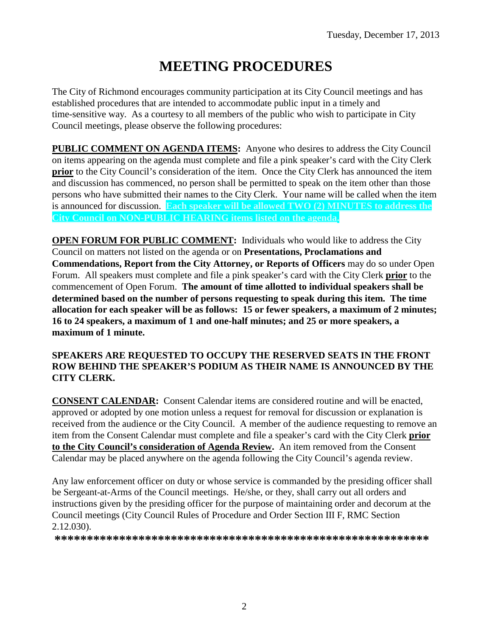# **MEETING PROCEDURES**

The City of Richmond encourages community participation at its City Council meetings and has established procedures that are intended to accommodate public input in a timely and time-sensitive way. As a courtesy to all members of the public who wish to participate in City Council meetings, please observe the following procedures:

**PUBLIC COMMENT ON AGENDA ITEMS:** Anyone who desires to address the City Council on items appearing on the agenda must complete and file a pink speaker's card with the City Clerk **prior** to the City Council's consideration of the item. Once the City Clerk has announced the item and discussion has commenced, no person shall be permitted to speak on the item other than those persons who have submitted their names to the City Clerk. Your name will be called when the item is announced for discussion. **Each speaker will be allowed TWO (2) MINUTES to address the City Council on NON-PUBLIC HEARING items listed on the agenda.**

**OPEN FORUM FOR PUBLIC COMMENT:** Individuals who would like to address the City Council on matters not listed on the agenda or on **Presentations, Proclamations and Commendations, Report from the City Attorney, or Reports of Officers** may do so under Open Forum. All speakers must complete and file a pink speaker's card with the City Clerk **prior** to the commencement of Open Forum. **The amount of time allotted to individual speakers shall be determined based on the number of persons requesting to speak during this item. The time allocation for each speaker will be as follows: 15 or fewer speakers, a maximum of 2 minutes; 16 to 24 speakers, a maximum of 1 and one-half minutes; and 25 or more speakers, a maximum of 1 minute.**

### **SPEAKERS ARE REQUESTED TO OCCUPY THE RESERVED SEATS IN THE FRONT ROW BEHIND THE SPEAKER'S PODIUM AS THEIR NAME IS ANNOUNCED BY THE CITY CLERK.**

**CONSENT CALENDAR:** Consent Calendar items are considered routine and will be enacted, approved or adopted by one motion unless a request for removal for discussion or explanation is received from the audience or the City Council. A member of the audience requesting to remove an item from the Consent Calendar must complete and file a speaker's card with the City Clerk **prior to the City Council's consideration of Agenda Review.** An item removed from the Consent Calendar may be placed anywhere on the agenda following the City Council's agenda review.

Any law enforcement officer on duty or whose service is commanded by the presiding officer shall be Sergeant-at-Arms of the Council meetings. He/she, or they, shall carry out all orders and instructions given by the presiding officer for the purpose of maintaining order and decorum at the Council meetings (City Council Rules of Procedure and Order Section III F, RMC Section 2.12.030).

**\*\*\*\*\*\*\*\*\*\*\*\*\*\*\*\*\*\*\*\*\*\*\*\*\*\*\*\*\*\*\*\*\*\*\*\*\*\*\*\*\*\*\*\*\*\*\*\*\*\*\*\*\*\*\*\*\*\***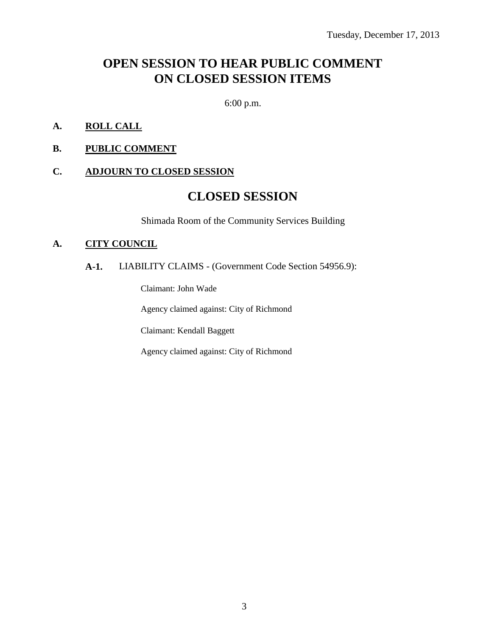### **OPEN SESSION TO HEAR PUBLIC COMMENT ON CLOSED SESSION ITEMS**

6:00 p.m.

- **A. ROLL CALL**
- **B. PUBLIC COMMENT**

#### **C. ADJOURN TO CLOSED SESSION**

### **CLOSED SESSION**

Shimada Room of the Community Services Building

#### **A. CITY COUNCIL**

### **A-1.** LIABILITY CLAIMS - (Government Code Section 54956.9):

Claimant: John Wade

Agency claimed against: City of Richmond

Claimant: Kendall Baggett

Agency claimed against: City of Richmond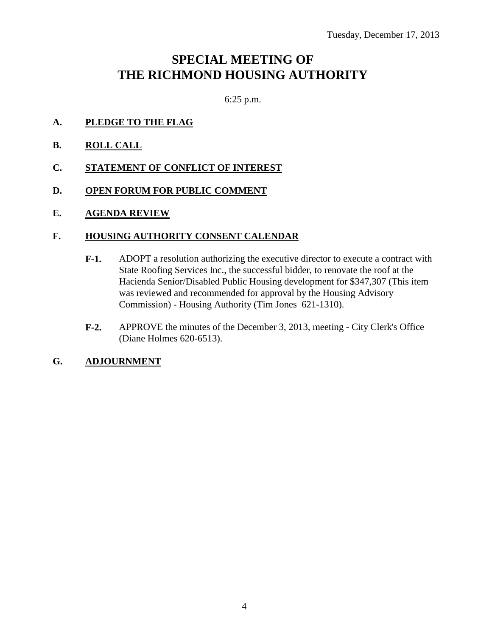### **SPECIAL MEETING OF THE RICHMOND HOUSING AUTHORITY**

6:25 p.m.

- **A. PLEDGE TO THE FLAG**
- **B. ROLL CALL**
- **C. STATEMENT OF CONFLICT OF INTEREST**
- **D. OPEN FORUM FOR PUBLIC COMMENT**
- **E. AGENDA REVIEW**

### **F. HOUSING AUTHORITY CONSENT CALENDAR**

- **F-1.** ADOPT a resolution authorizing the executive director to execute a contract with State Roofing Services Inc., the successful bidder, to renovate the roof at the Hacienda Senior/Disabled Public Housing development for \$347,307 (This item was reviewed and recommended for approval by the Housing Advisory Commission) - Housing Authority (Tim Jones 621-1310).
- **F-2.** APPROVE the minutes of the December 3, 2013, meeting City Clerk's Office (Diane Holmes 620-6513).

### **G. ADJOURNMENT**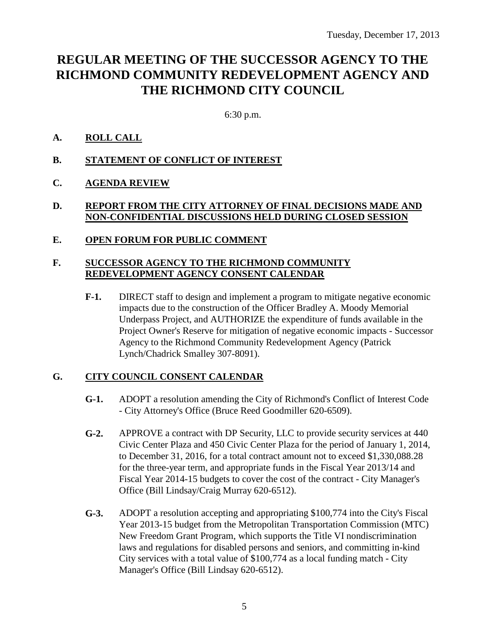## **REGULAR MEETING OF THE SUCCESSOR AGENCY TO THE RICHMOND COMMUNITY REDEVELOPMENT AGENCY AND THE RICHMOND CITY COUNCIL**

6:30 p.m.

### **A. ROLL CALL**

**B. STATEMENT OF CONFLICT OF INTEREST**

### **C. AGENDA REVIEW**

### **D. REPORT FROM THE CITY ATTORNEY OF FINAL DECISIONS MADE AND NON-CONFIDENTIAL DISCUSSIONS HELD DURING CLOSED SESSION**

#### **E. OPEN FORUM FOR PUBLIC COMMENT**

#### **F. SUCCESSOR AGENCY TO THE RICHMOND COMMUNITY REDEVELOPMENT AGENCY CONSENT CALENDAR**

**F-1.** DIRECT staff to design and implement a program to mitigate negative economic impacts due to the construction of the Officer Bradley A. Moody Memorial Underpass Project, and AUTHORIZE the expenditure of funds available in the Project Owner's Reserve for mitigation of negative economic impacts - Successor Agency to the Richmond Community Redevelopment Agency (Patrick Lynch/Chadrick Smalley 307-8091).

### **G. CITY COUNCIL CONSENT CALENDAR**

- **G-1.** ADOPT a resolution amending the City of Richmond's Conflict of Interest Code - City Attorney's Office (Bruce Reed Goodmiller 620-6509).
- **G-2.** APPROVE a contract with DP Security, LLC to provide security services at 440 Civic Center Plaza and 450 Civic Center Plaza for the period of January 1, 2014, to December 31, 2016, for a total contract amount not to exceed \$1,330,088.28 for the three-year term, and appropriate funds in the Fiscal Year 2013/14 and Fiscal Year 2014-15 budgets to cover the cost of the contract - City Manager's Office (Bill Lindsay/Craig Murray 620-6512).
- **G-3.** ADOPT a resolution accepting and appropriating \$100,774 into the City's Fiscal Year 2013-15 budget from the Metropolitan Transportation Commission (MTC) New Freedom Grant Program, which supports the Title VI nondiscrimination laws and regulations for disabled persons and seniors, and committing in-kind City services with a total value of \$100,774 as a local funding match - City Manager's Office (Bill Lindsay 620-6512).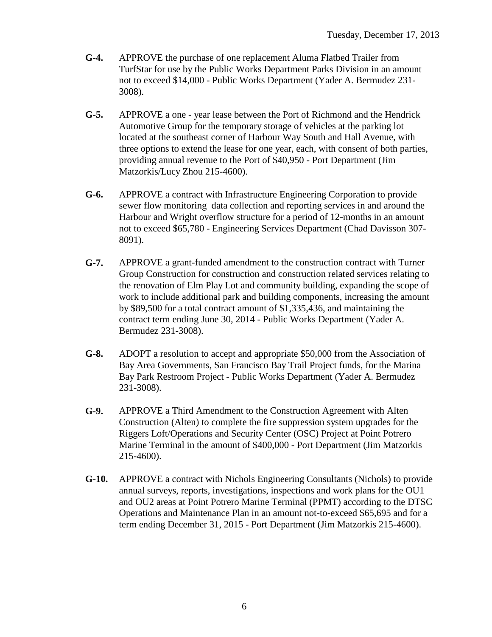- **G-4.** APPROVE the purchase of one replacement Aluma Flatbed Trailer from TurfStar for use by the Public Works Department Parks Division in an amount not to exceed \$14,000 - Public Works Department (Yader A. Bermudez 231- 3008).
- **G-5.** APPROVE a one year lease between the Port of Richmond and the Hendrick Automotive Group for the temporary storage of vehicles at the parking lot located at the southeast corner of Harbour Way South and Hall Avenue, with three options to extend the lease for one year, each, with consent of both parties, providing annual revenue to the Port of \$40,950 - Port Department (Jim Matzorkis/Lucy Zhou 215-4600).
- **G-6.** APPROVE a contract with Infrastructure Engineering Corporation to provide sewer flow monitoring data collection and reporting services in and around the Harbour and Wright overflow structure for a period of 12-months in an amount not to exceed \$65,780 - Engineering Services Department (Chad Davisson 307- 8091).
- **G-7.** APPROVE a grant-funded amendment to the construction contract with Turner Group Construction for construction and construction related services relating to the renovation of Elm Play Lot and community building, expanding the scope of work to include additional park and building components, increasing the amount by \$89,500 for a total contract amount of \$1,335,436, and maintaining the contract term ending June 30, 2014 - Public Works Department (Yader A. Bermudez 231-3008).
- **G-8.** ADOPT a resolution to accept and appropriate \$50,000 from the Association of Bay Area Governments, San Francisco Bay Trail Project funds, for the Marina Bay Park Restroom Project - Public Works Department (Yader A. Bermudez 231-3008).
- **G-9.** APPROVE a Third Amendment to the Construction Agreement with Alten Construction (Alten) to complete the fire suppression system upgrades for the Riggers Loft/Operations and Security Center (OSC) Project at Point Potrero Marine Terminal in the amount of \$400,000 - Port Department (Jim Matzorkis 215-4600).
- **G-10.** APPROVE a contract with Nichols Engineering Consultants (Nichols) to provide annual surveys, reports, investigations, inspections and work plans for the OU1 and OU2 areas at Point Potrero Marine Terminal (PPMT) according to the DTSC Operations and Maintenance Plan in an amount not-to-exceed \$65,695 and for a term ending December 31, 2015 - Port Department (Jim Matzorkis 215-4600).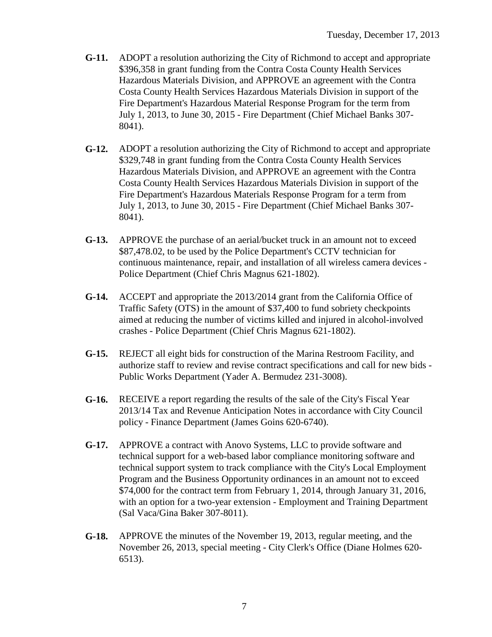- **G-11.** ADOPT a resolution authorizing the City of Richmond to accept and appropriate \$396,358 in grant funding from the Contra Costa County Health Services Hazardous Materials Division, and APPROVE an agreement with the Contra Costa County Health Services Hazardous Materials Division in support of the Fire Department's Hazardous Material Response Program for the term from July 1, 2013, to June 30, 2015 - Fire Department (Chief Michael Banks 307- 8041).
- **G-12.** ADOPT a resolution authorizing the City of Richmond to accept and appropriate \$329,748 in grant funding from the Contra Costa County Health Services Hazardous Materials Division, and APPROVE an agreement with the Contra Costa County Health Services Hazardous Materials Division in support of the Fire Department's Hazardous Materials Response Program for a term from July 1, 2013, to June 30, 2015 - Fire Department (Chief Michael Banks 307- 8041).
- **G-13.** APPROVE the purchase of an aerial/bucket truck in an amount not to exceed \$87,478.02, to be used by the Police Department's CCTV technician for continuous maintenance, repair, and installation of all wireless camera devices - Police Department (Chief Chris Magnus 621-1802).
- **G-14.** ACCEPT and appropriate the 2013/2014 grant from the California Office of Traffic Safety (OTS) in the amount of \$37,400 to fund sobriety checkpoints aimed at reducing the number of victims killed and injured in alcohol-involved crashes - Police Department (Chief Chris Magnus 621-1802).
- **G-15.** REJECT all eight bids for construction of the Marina Restroom Facility, and authorize staff to review and revise contract specifications and call for new bids - Public Works Department (Yader A. Bermudez 231-3008).
- **G-16.** RECEIVE a report regarding the results of the sale of the City's Fiscal Year 2013/14 Tax and Revenue Anticipation Notes in accordance with City Council policy - Finance Department (James Goins 620-6740).
- **G-17.** APPROVE a contract with Anovo Systems, LLC to provide software and technical support for a web-based labor compliance monitoring software and technical support system to track compliance with the City's Local Employment Program and the Business Opportunity ordinances in an amount not to exceed \$74,000 for the contract term from February 1, 2014, through January 31, 2016, with an option for a two-year extension - Employment and Training Department (Sal Vaca/Gina Baker 307-8011).
- **G-18.** APPROVE the minutes of the November 19, 2013, regular meeting, and the November 26, 2013, special meeting - City Clerk's Office (Diane Holmes 620- 6513).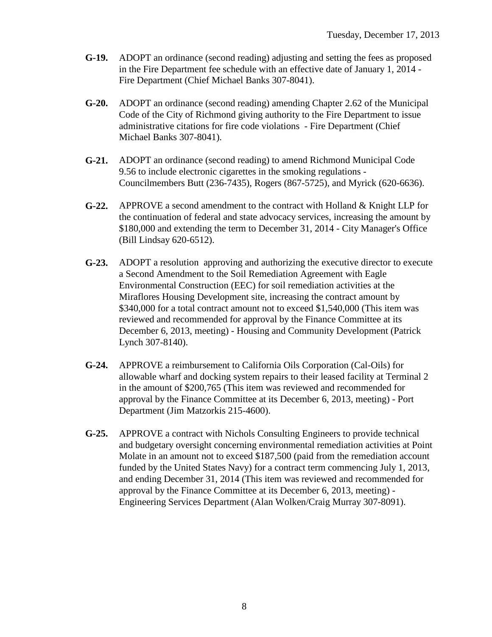- **G-19.** ADOPT an ordinance (second reading) adjusting and setting the fees as proposed in the Fire Department fee schedule with an effective date of January 1, 2014 - Fire Department (Chief Michael Banks 307-8041).
- **G-20.** ADOPT an ordinance (second reading) amending Chapter 2.62 of the Municipal Code of the City of Richmond giving authority to the Fire Department to issue administrative citations for fire code violations - Fire Department (Chief Michael Banks 307-8041).
- **G-21.** ADOPT an ordinance (second reading) to amend Richmond Municipal Code 9.56 to include electronic cigarettes in the smoking regulations - Councilmembers Butt (236-7435), Rogers (867-5725), and Myrick (620-6636).
- **G-22.** APPROVE a second amendment to the contract with Holland & Knight LLP for the continuation of federal and state advocacy services, increasing the amount by \$180,000 and extending the term to December 31, 2014 - City Manager's Office (Bill Lindsay 620-6512).
- **G-23.** ADOPT a resolution approving and authorizing the executive director to execute a Second Amendment to the Soil Remediation Agreement with Eagle Environmental Construction (EEC) for soil remediation activities at the Miraflores Housing Development site, increasing the contract amount by \$340,000 for a total contract amount not to exceed \$1,540,000 (This item was reviewed and recommended for approval by the Finance Committee at its December 6, 2013, meeting) - Housing and Community Development (Patrick Lynch 307-8140).
- **G-24.** APPROVE a reimbursement to California Oils Corporation (Cal-Oils) for allowable wharf and docking system repairs to their leased facility at Terminal 2 in the amount of \$200,765 (This item was reviewed and recommended for approval by the Finance Committee at its December 6, 2013, meeting) - Port Department (Jim Matzorkis 215-4600).
- **G-25.** APPROVE a contract with Nichols Consulting Engineers to provide technical and budgetary oversight concerning environmental remediation activities at Point Molate in an amount not to exceed \$187,500 (paid from the remediation account funded by the United States Navy) for a contract term commencing July 1, 2013, and ending December 31, 2014 (This item was reviewed and recommended for approval by the Finance Committee at its December 6, 2013, meeting) - Engineering Services Department (Alan Wolken/Craig Murray 307-8091).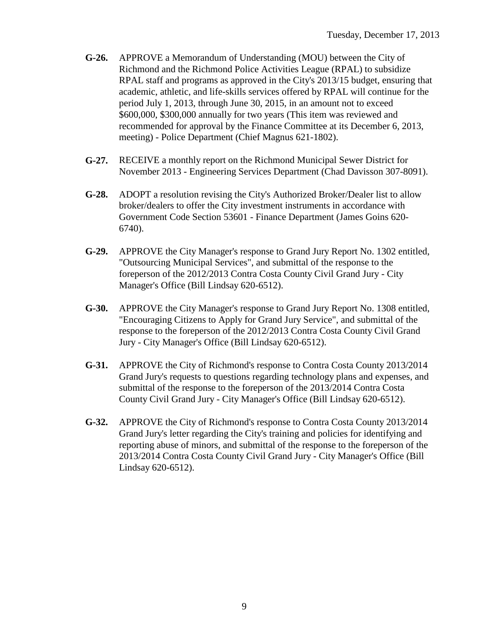- **G-26.** APPROVE a Memorandum of Understanding (MOU) between the City of Richmond and the Richmond Police Activities League (RPAL) to subsidize RPAL staff and programs as approved in the City's 2013/15 budget, ensuring that academic, athletic, and life-skills services offered by RPAL will continue for the period July 1, 2013, through June 30, 2015, in an amount not to exceed \$600,000, \$300,000 annually for two years (This item was reviewed and recommended for approval by the Finance Committee at its December 6, 2013, meeting) - Police Department (Chief Magnus 621-1802).
- **G-27.** RECEIVE a monthly report on the Richmond Municipal Sewer District for November 2013 - Engineering Services Department (Chad Davisson 307-8091).
- **G-28.** ADOPT a resolution revising the City's Authorized Broker/Dealer list to allow broker/dealers to offer the City investment instruments in accordance with Government Code Section 53601 - Finance Department (James Goins 620- 6740).
- **G-29.** APPROVE the City Manager's response to Grand Jury Report No. 1302 entitled, "Outsourcing Municipal Services", and submittal of the response to the foreperson of the 2012/2013 Contra Costa County Civil Grand Jury - City Manager's Office (Bill Lindsay 620-6512).
- **G-30.** APPROVE the City Manager's response to Grand Jury Report No. 1308 entitled, "Encouraging Citizens to Apply for Grand Jury Service", and submittal of the response to the foreperson of the 2012/2013 Contra Costa County Civil Grand Jury - City Manager's Office (Bill Lindsay 620-6512).
- **G-31.** APPROVE the City of Richmond's response to Contra Costa County 2013/2014 Grand Jury's requests to questions regarding technology plans and expenses, and submittal of the response to the foreperson of the 2013/2014 Contra Costa County Civil Grand Jury - City Manager's Office (Bill Lindsay 620-6512).
- **G-32.** APPROVE the City of Richmond's response to Contra Costa County 2013/2014 Grand Jury's letter regarding the City's training and policies for identifying and reporting abuse of minors, and submittal of the response to the foreperson of the 2013/2014 Contra Costa County Civil Grand Jury - City Manager's Office (Bill Lindsay 620-6512).